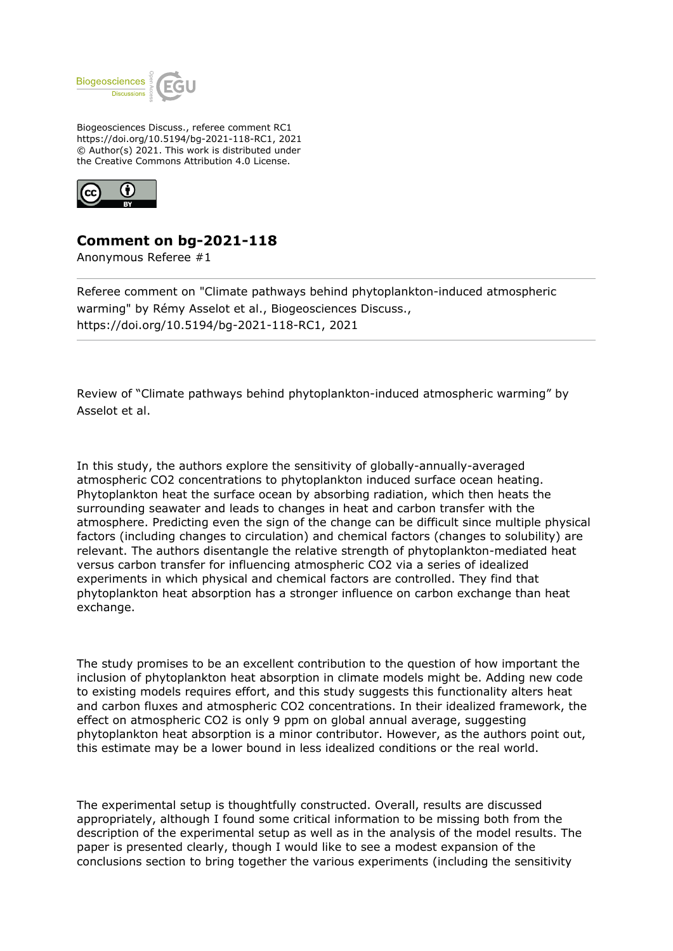

Biogeosciences Discuss., referee comment RC1 https://doi.org/10.5194/bg-2021-118-RC1, 2021 © Author(s) 2021. This work is distributed under the Creative Commons Attribution 4.0 License.



## **Comment on bg-2021-118**

Anonymous Referee #1

Referee comment on "Climate pathways behind phytoplankton-induced atmospheric warming" by Rémy Asselot et al., Biogeosciences Discuss., https://doi.org/10.5194/bg-2021-118-RC1, 2021

Review of "Climate pathways behind phytoplankton-induced atmospheric warming" by Asselot et al.

In this study, the authors explore the sensitivity of globally-annually-averaged atmospheric CO2 concentrations to phytoplankton induced surface ocean heating. Phytoplankton heat the surface ocean by absorbing radiation, which then heats the surrounding seawater and leads to changes in heat and carbon transfer with the atmosphere. Predicting even the sign of the change can be difficult since multiple physical factors (including changes to circulation) and chemical factors (changes to solubility) are relevant. The authors disentangle the relative strength of phytoplankton-mediated heat versus carbon transfer for influencing atmospheric CO2 via a series of idealized experiments in which physical and chemical factors are controlled. They find that phytoplankton heat absorption has a stronger influence on carbon exchange than heat exchange.

The study promises to be an excellent contribution to the question of how important the inclusion of phytoplankton heat absorption in climate models might be. Adding new code to existing models requires effort, and this study suggests this functionality alters heat and carbon fluxes and atmospheric CO2 concentrations. In their idealized framework, the effect on atmospheric CO2 is only 9 ppm on global annual average, suggesting phytoplankton heat absorption is a minor contributor. However, as the authors point out, this estimate may be a lower bound in less idealized conditions or the real world.

The experimental setup is thoughtfully constructed. Overall, results are discussed appropriately, although I found some critical information to be missing both from the description of the experimental setup as well as in the analysis of the model results. The paper is presented clearly, though I would like to see a modest expansion of the conclusions section to bring together the various experiments (including the sensitivity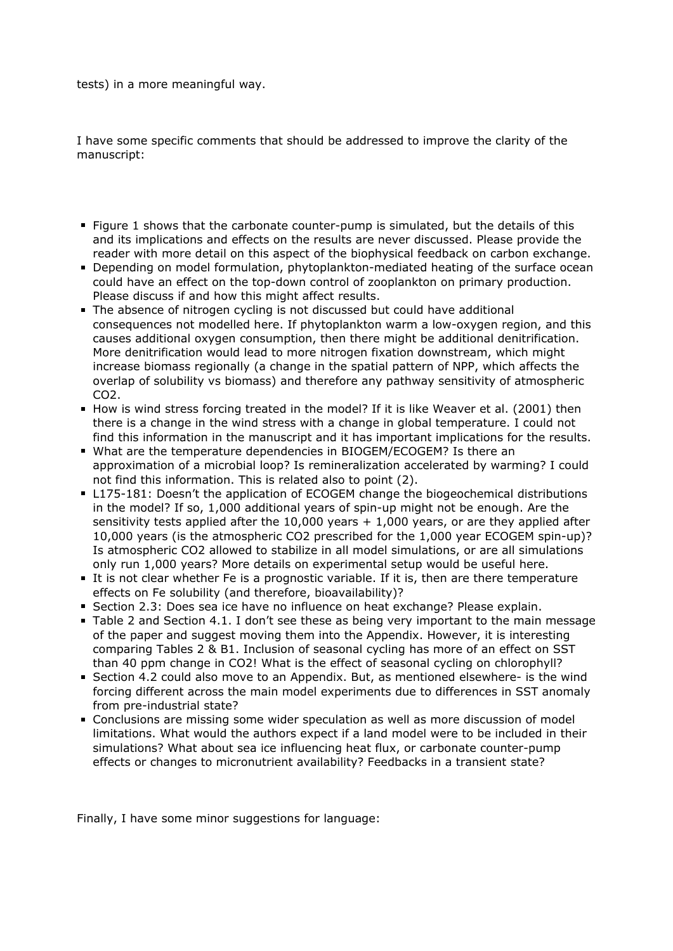tests) in a more meaningful way.

I have some specific comments that should be addressed to improve the clarity of the manuscript:

- Figure 1 shows that the carbonate counter-pump is simulated, but the details of this and its implications and effects on the results are never discussed. Please provide the reader with more detail on this aspect of the biophysical feedback on carbon exchange.
- Depending on model formulation, phytoplankton-mediated heating of the surface ocean could have an effect on the top-down control of zooplankton on primary production. Please discuss if and how this might affect results.
- The absence of nitrogen cycling is not discussed but could have additional consequences not modelled here. If phytoplankton warm a low-oxygen region, and this causes additional oxygen consumption, then there might be additional denitrification. More denitrification would lead to more nitrogen fixation downstream, which might increase biomass regionally (a change in the spatial pattern of NPP, which affects the overlap of solubility vs biomass) and therefore any pathway sensitivity of atmospheric CO2.
- **How is wind stress forcing treated in the model? If it is like Weaver et al. (2001) then** there is a change in the wind stress with a change in global temperature. I could not find this information in the manuscript and it has important implications for the results.
- What are the temperature dependencies in BIOGEM/ECOGEM? Is there an approximation of a microbial loop? Is remineralization accelerated by warming? I could not find this information. This is related also to point (2).
- L175-181: Doesn't the application of ECOGEM change the biogeochemical distributions in the model? If so, 1,000 additional years of spin-up might not be enough. Are the sensitivity tests applied after the  $10,000$  years  $+1,000$  years, or are they applied after 10,000 years (is the atmospheric CO2 prescribed for the 1,000 year ECOGEM spin-up)? Is atmospheric CO2 allowed to stabilize in all model simulations, or are all simulations only run 1,000 years? More details on experimental setup would be useful here.
- It is not clear whether Fe is a prognostic variable. If it is, then are there temperature effects on Fe solubility (and therefore, bioavailability)?
- **Section 2.3: Does sea ice have no influence on heat exchange? Please explain.**
- Table 2 and Section 4.1. I don't see these as being very important to the main message of the paper and suggest moving them into the Appendix. However, it is interesting comparing Tables 2 & B1. Inclusion of seasonal cycling has more of an effect on SST than 40 ppm change in CO2! What is the effect of seasonal cycling on chlorophyll?
- Section 4.2 could also move to an Appendix. But, as mentioned elsewhere- is the wind forcing different across the main model experiments due to differences in SST anomaly from pre-industrial state?
- Conclusions are missing some wider speculation as well as more discussion of model limitations. What would the authors expect if a land model were to be included in their simulations? What about sea ice influencing heat flux, or carbonate counter-pump effects or changes to micronutrient availability? Feedbacks in a transient state?

Finally, I have some minor suggestions for language: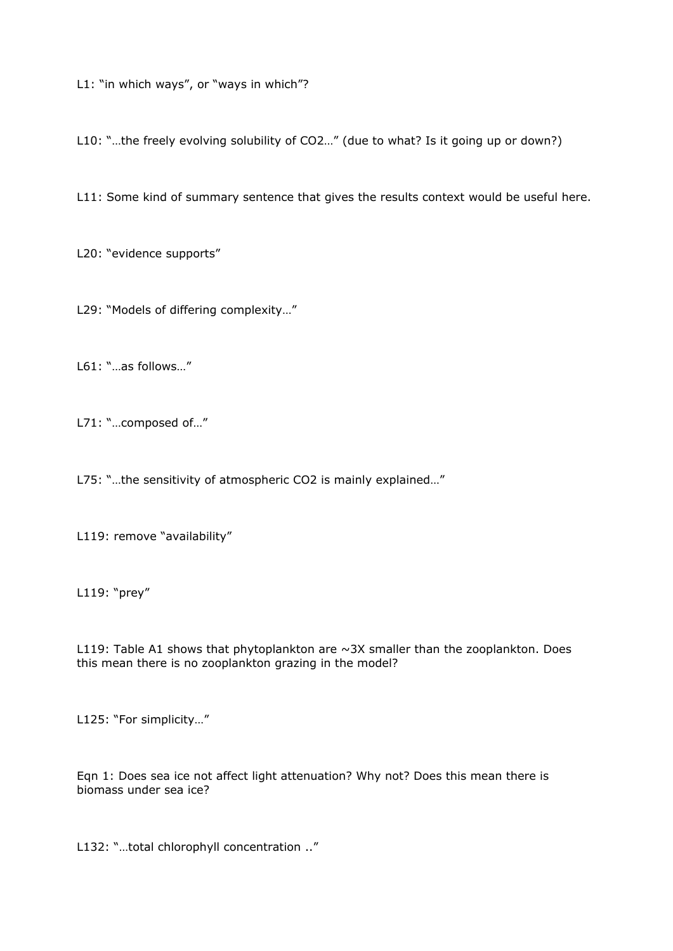L1: "in which ways", or "ways in which"?

L10: "…the freely evolving solubility of CO2…" (due to what? Is it going up or down?)

L11: Some kind of summary sentence that gives the results context would be useful here.

L20: "evidence supports"

L29: "Models of differing complexity…"

L61: "…as follows…"

L71: "...composed of..."

L75: "...the sensitivity of atmospheric CO2 is mainly explained..."

L119: remove "availability"

L119: "prey"

L119: Table A1 shows that phytoplankton are  $\sim$ 3X smaller than the zooplankton. Does this mean there is no zooplankton grazing in the model?

L125: "For simplicity…"

Eqn 1: Does sea ice not affect light attenuation? Why not? Does this mean there is biomass under sea ice?

L132: "...total chlorophyll concentration .."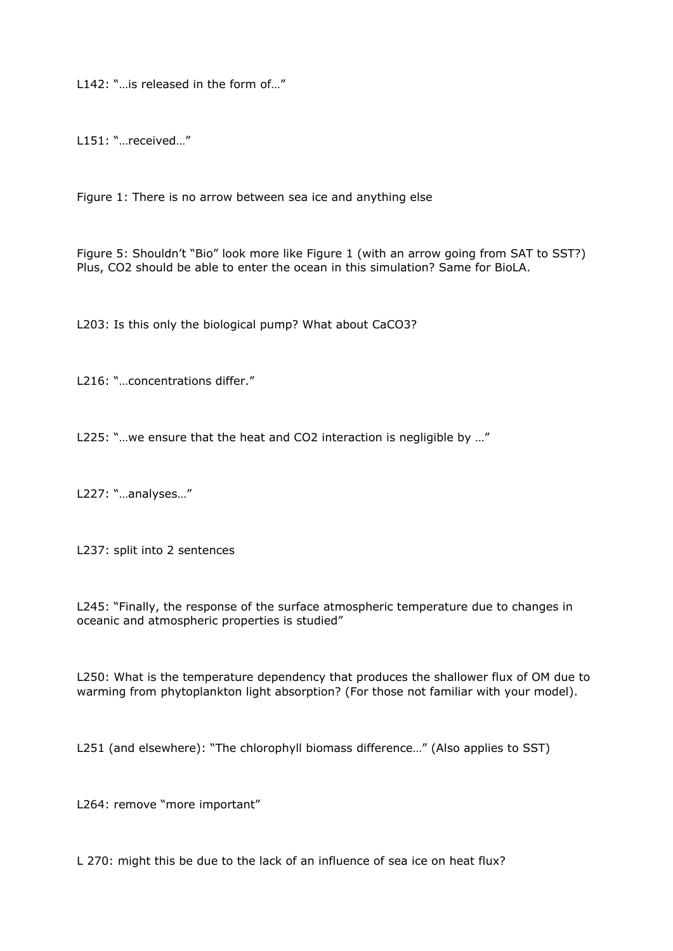L142: "...is released in the form of..."

L151: "…received…"

Figure 1: There is no arrow between sea ice and anything else

Figure 5: Shouldn't "Bio" look more like Figure 1 (with an arrow going from SAT to SST?) Plus, CO2 should be able to enter the ocean in this simulation? Same for BioLA.

L203: Is this only the biological pump? What about CaCO3?

L216: "…concentrations differ."

L225: "…we ensure that the heat and CO2 interaction is negligible by …"

L227: "...analyses..."

L237: split into 2 sentences

L245: "Finally, the response of the surface atmospheric temperature due to changes in oceanic and atmospheric properties is studied"

L250: What is the temperature dependency that produces the shallower flux of OM due to warming from phytoplankton light absorption? (For those not familiar with your model).

L251 (and elsewhere): "The chlorophyll biomass difference…" (Also applies to SST)

L264: remove "more important"

L 270: might this be due to the lack of an influence of sea ice on heat flux?